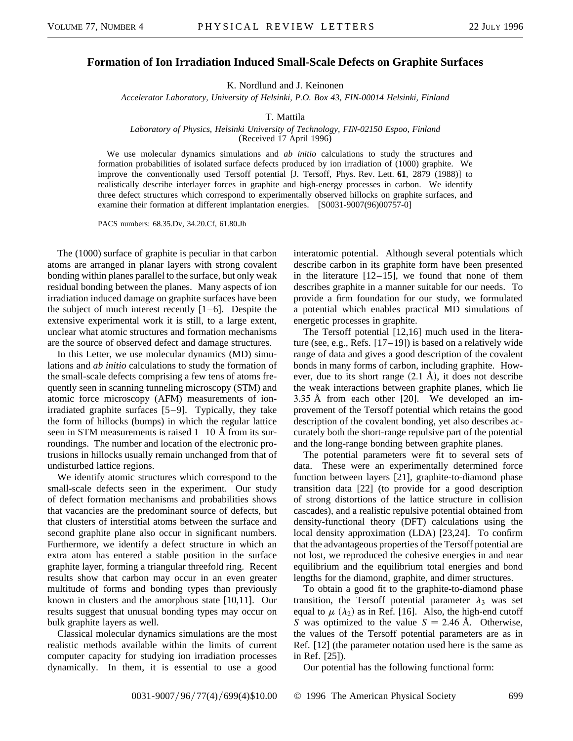## **Formation of Ion Irradiation Induced Small-Scale Defects on Graphite Surfaces**

K. Nordlund and J. Keinonen

*Accelerator Laboratory, University of Helsinki, P.O. Box 43, FIN-00014 Helsinki, Finland*

T. Mattila

*Laboratory of Physics, Helsinki University of Technology, FIN-02150 Espoo, Finland* (Received 17 April 1996)

We use molecular dynamics simulations and *ab initio* calculations to study the structures and formation probabilities of isolated surface defects produced by ion irradiation of (1000) graphite. We improve the conventionally used Tersoff potential [J. Tersoff, Phys. Rev. Lett. **61**, 2879 (1988)] to realistically describe interlayer forces in graphite and high-energy processes in carbon. We identify three defect structures which correspond to experimentally observed hillocks on graphite surfaces, and examine their formation at different implantation energies. [S0031-9007(96)00757-0]

PACS numbers: 68.35.Dv, 34.20.Cf, 61.80.Jh

The (1000) surface of graphite is peculiar in that carbon atoms are arranged in planar layers with strong covalent bonding within planes parallel to the surface, but only weak residual bonding between the planes. Many aspects of ion irradiation induced damage on graphite surfaces have been the subject of much interest recently  $[1-6]$ . Despite the extensive experimental work it is still, to a large extent, unclear what atomic structures and formation mechanisms are the source of observed defect and damage structures.

In this Letter, we use molecular dynamics (MD) simulations and *ab initio* calculations to study the formation of the small-scale defects comprising a few tens of atoms frequently seen in scanning tunneling microscopy (STM) and atomic force microscopy (AFM) measurements of ionirradiated graphite surfaces [5–9]. Typically, they take the form of hillocks (bumps) in which the regular lattice seen in STM measurements is raised  $1-10$  Å from its surroundings. The number and location of the electronic protrusions in hillocks usually remain unchanged from that of undisturbed lattice regions.

We identify atomic structures which correspond to the small-scale defects seen in the experiment. Our study of defect formation mechanisms and probabilities shows that vacancies are the predominant source of defects, but that clusters of interstitial atoms between the surface and second graphite plane also occur in significant numbers. Furthermore, we identify a defect structure in which an extra atom has entered a stable position in the surface graphite layer, forming a triangular threefold ring. Recent results show that carbon may occur in an even greater multitude of forms and bonding types than previously known in clusters and the amorphous state [10,11]. Our results suggest that unusual bonding types may occur on bulk graphite layers as well.

Classical molecular dynamics simulations are the most realistic methods available within the limits of current computer capacity for studying ion irradiation processes dynamically. In them, it is essential to use a good

interatomic potential. Although several potentials which describe carbon in its graphite form have been presented in the literature  $[12-15]$ , we found that none of them describes graphite in a manner suitable for our needs. To provide a firm foundation for our study, we formulated a potential which enables practical MD simulations of energetic processes in graphite.

The Tersoff potential [12,16] much used in the literature (see, e.g., Refs.  $[17-19]$ ) is based on a relatively wide range of data and gives a good description of the covalent bonds in many forms of carbon, including graphite. However, due to its short range  $(2.1 \text{ Å})$ , it does not describe the weak interactions between graphite planes, which lie 3.35 Å from each other [20]. We developed an improvement of the Tersoff potential which retains the good description of the covalent bonding, yet also describes accurately both the short-range repulsive part of the potential and the long-range bonding between graphite planes.

The potential parameters were fit to several sets of data. These were an experimentally determined force function between layers [21], graphite-to-diamond phase transition data [22] (to provide for a good description of strong distortions of the lattice structure in collision cascades), and a realistic repulsive potential obtained from density-functional theory (DFT) calculations using the local density approximation (LDA) [23,24]. To confirm that the advantageous properties of the Tersoff potential are not lost, we reproduced the cohesive energies in and near equilibrium and the equilibrium total energies and bond lengths for the diamond, graphite, and dimer structures.

To obtain a good fit to the graphite-to-diamond phase transition, the Tersoff potential parameter  $\lambda_3$  was set equal to  $\mu$  ( $\lambda_2$ ) as in Ref. [16]. Also, the high-end cutoff *S* was optimized to the value  $S = 2.46$  Å. Otherwise, the values of the Tersoff potential parameters are as in Ref. [12] (the parameter notation used here is the same as in Ref. [25]).

Our potential has the following functional form: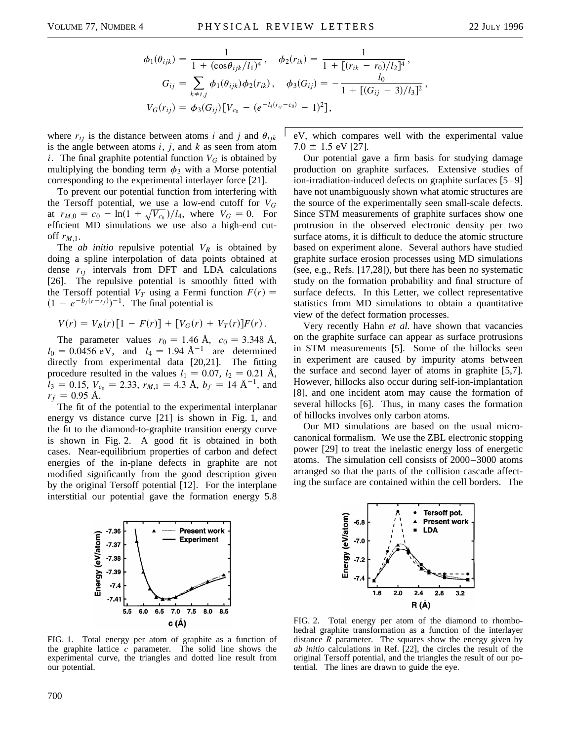$$
\phi_1(\theta_{ijk}) = \frac{1}{1 + (\cos \theta_{ijk}/l_1)^4}, \quad \phi_2(r_{ik}) = \frac{1}{1 + [(r_{ik} - r_0)/l_2]^4},
$$

$$
G_{ij} = \sum_{k \neq i,j} \phi_1(\theta_{ijk}) \phi_2(r_{ik}), \quad \phi_3(G_{ij}) = -\frac{l_0}{1 + [(G_{ij} - 3)/l_3]^2},
$$

$$
V_G(r_{ij}) = \phi_3(G_{ij}) [V_{c_0} - (e^{-l_4(r_{ij} - c_0)} - 1)^2],
$$

where  $r_{ij}$  is the distance between atoms *i* and *j* and  $\theta_{ijk}$ is the angle between atoms *i*, *j*, and *k* as seen from atom *i*. The final graphite potential function  $V_G$  is obtained by multiplying the bonding term  $\phi_3$  with a Morse potential corresponding to the experimental interlayer force [21].

To prevent our potential function from interfering with the Tersoff potential, we use a low-end cutoff for *VG* at  $r_{M,0} = c_0 - \ln(1 + \sqrt{V_{c_0}})/l_4$ , where  $V_G = 0$ . For efficient MD simulations we use also a high-end cutoff  $r_{M,1}$ .

The *ab initio* repulsive potential  $V_R$  is obtained by doing a spline interpolation of data points obtained at dense *rij* intervals from DFT and LDA calculations [26]. The repulsive potential is smoothly fitted with the Tersoff potential  $V_T$  using a Fermi function  $F(r)$  =  $(1 + e^{-b_f(r - r_f)})^{-1}$ . The final potential is

$$
V(r) = V_R(r)[1 - F(r)] + [V_G(r) + V_T(r)]F(r).
$$

The parameter values  $r_0 = 1.46 \text{ Å}, c_0 = 3.348 \text{ Å},$  $l_0 = 0.0456 \text{ eV}$ , and  $l_4 = 1.94 \text{ Å}^{-1}$  are determined directly from experimental data [20,21]. The fitting procedure resulted in the values  $l_1 = 0.07$ ,  $l_2 = 0.21$  Å,  $l_3 = 0.15$ ,  $V_{c_0} = 2.33$ ,  $r_{M,1} = 4.3$  Å,  $b_f = 14$  Å<sup>-1</sup>, and  $r_f = 0.95$  Å.

The fit of the potential to the experimental interplanar energy vs distance curve [21] is shown in Fig. 1, and the fit to the diamond-to-graphite transition energy curve is shown in Fig. 2. A good fit is obtained in both cases. Near-equilibrium properties of carbon and defect energies of the in-plane defects in graphite are not modified significantly from the good description given by the original Tersoff potential [12]. For the interplane interstitial our potential gave the formation energy 5.8



eV, which compares well with the experimental value  $7.0 \pm 1.5$  eV [27].

Our potential gave a firm basis for studying damage production on graphite surfaces. Extensive studies of ion-irradiation-induced defects on graphite surfaces [5–9] have not unambiguously shown what atomic structures are the source of the experimentally seen small-scale defects. Since STM measurements of graphite surfaces show one protrusion in the observed electronic density per two surface atoms, it is difficult to deduce the atomic structure based on experiment alone. Several authors have studied graphite surface erosion processes using MD simulations (see, e.g., Refs. [17,28]), but there has been no systematic study on the formation probability and final structure of surface defects. In this Letter, we collect representative statistics from MD simulations to obtain a quantitative view of the defect formation processes.

Very recently Hahn *et al.* have shown that vacancies on the graphite surface can appear as surface protrusions in STM measurements [5]. Some of the hillocks seen in experiment are caused by impurity atoms between the surface and second layer of atoms in graphite [5,7]. However, hillocks also occur during self-ion-implantation [8], and one incident atom may cause the formation of several hillocks [6]. Thus, in many cases the formation of hillocks involves only carbon atoms.

Our MD simulations are based on the usual microcanonical formalism. We use the ZBL electronic stopping power [29] to treat the inelastic energy loss of energetic atoms. The simulation cell consists of 2000–3000 atoms arranged so that the parts of the collision cascade affecting the surface are contained within the cell borders. The



FIG. 2. Total energy per atom of the diamond to rhombohedral graphite transformation as a function of the interlayer distance *R* parameter. The squares show the energy given by *ab initio* calculations in Ref. [22], the circles the result of the original Tersoff potential, and the triangles the result of our potential. The lines are drawn to guide the eye.

FIG. 1. Total energy per atom of graphite as a function of the graphite lattice *c* parameter. The solid line shows the experimental curve, the triangles and dotted line result from our potential.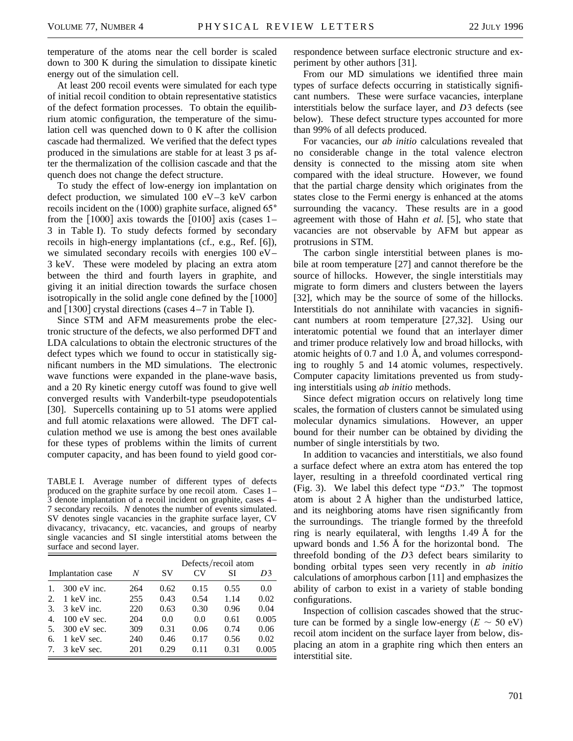temperature of the atoms near the cell border is scaled down to 300 K during the simulation to dissipate kinetic energy out of the simulation cell.

At least 200 recoil events were simulated for each type of initial recoil condition to obtain representative statistics of the defect formation processes. To obtain the equilibrium atomic configuration, the temperature of the simulation cell was quenched down to 0 K after the collision cascade had thermalized. We verified that the defect types produced in the simulations are stable for at least 3 ps after the thermalization of the collision cascade and that the quench does not change the defect structure.

To study the effect of low-energy ion implantation on defect production, we simulated 100 eV–3 keV carbon recoils incident on the  $(1000)$  graphite surface, aligned 65 $\degree$ from the  $\lceil 1000 \rceil$  axis towards the  $\lceil 0100 \rceil$  axis (cases 1– 3 in Table I). To study defects formed by secondary recoils in high-energy implantations (cf., e.g., Ref. [6]), we simulated secondary recoils with energies 100 eV– 3 keV. These were modeled by placing an extra atom between the third and fourth layers in graphite, and giving it an initial direction towards the surface chosen isotropically in the solid angle cone defined by the  $[1000]$ and  $[1300]$  crystal directions (cases  $4-7$  in Table I).

Since STM and AFM measurements probe the electronic structure of the defects, we also performed DFT and LDA calculations to obtain the electronic structures of the defect types which we found to occur in statistically significant numbers in the MD simulations. The electronic wave functions were expanded in the plane-wave basis, and a 20 Ry kinetic energy cutoff was found to give well converged results with Vanderbilt-type pseudopotentials [30]. Supercells containing up to 51 atoms were applied and full atomic relaxations were allowed. The DFT calculation method we use is among the best ones available for these types of problems within the limits of current computer capacity, and has been found to yield good cor-

TABLE I. Average number of different types of defects produced on the graphite surface by one recoil atom. Cases 1– 3 denote implantation of a recoil incident on graphite, cases 4– 7 secondary recoils. *N* denotes the number of events simulated. SV denotes single vacancies in the graphite surface layer, CV divacancy, trivacancy, etc. vacancies, and groups of nearby single vacancies and SI single interstitial atoms between the surface and second layer.

|                   |               |     | Defects/recoil atom |                |      |       |  |
|-------------------|---------------|-----|---------------------|----------------|------|-------|--|
| Implantation case |               | N   | SV                  | CV <sub></sub> | SI   | D3    |  |
| 1.                | $300$ eV inc. | 264 | 0.62                | 0.15           | 0.55 | 0.0   |  |
| 2.                | 1 keV inc.    | 255 | 0.43                | 0.54           | 1.14 | 0.02  |  |
| 3.                | 3 keV inc.    | 220 | 0.63                | 0.30           | 0.96 | 0.04  |  |
| 4.                | $100$ eV sec. | 204 | 0.0                 | 0.0            | 0.61 | 0.005 |  |
| .5.               | $300$ eV sec. | 309 | 0.31                | 0.06           | 0.74 | 0.06  |  |
| 6.                | 1 keV sec.    | 240 | 0.46                | 0.17           | 0.56 | 0.02  |  |
| 7.                | 3 keV sec.    | 201 | 0.29                | 0.11           | 0.31 | 0.005 |  |

respondence between surface electronic structure and experiment by other authors [31].

From our MD simulations we identified three main types of surface defects occurring in statistically significant numbers. These were surface vacancies, interplane interstitials below the surface layer, and *D*3 defects (see below). These defect structure types accounted for more than 99% of all defects produced.

For vacancies, our *ab initio* calculations revealed that no considerable change in the total valence electron density is connected to the missing atom site when compared with the ideal structure. However, we found that the partial charge density which originates from the states close to the Fermi energy is enhanced at the atoms surrounding the vacancy. These results are in a good agreement with those of Hahn *et al.* [5], who state that vacancies are not observable by AFM but appear as protrusions in STM.

The carbon single interstitial between planes is mobile at room temperature [27] and cannot therefore be the source of hillocks. However, the single interstitials may migrate to form dimers and clusters between the layers [32], which may be the source of some of the hillocks. Interstitials do not annihilate with vacancies in significant numbers at room temperature [27,32]. Using our interatomic potential we found that an interlayer dimer and trimer produce relatively low and broad hillocks, with atomic heights of 0.7 and 1.0 Å, and volumes corresponding to roughly 5 and 14 atomic volumes, respectively. Computer capacity limitations prevented us from studying interstitials using *ab initio* methods.

Since defect migration occurs on relatively long time scales, the formation of clusters cannot be simulated using molecular dynamics simulations. However, an upper bound for their number can be obtained by dividing the number of single interstitials by two.

In addition to vacancies and interstitials, we also found a surface defect where an extra atom has entered the top layer, resulting in a threefold coordinated vertical ring (Fig. 3). We label this defect type "*D*3." The topmost atom is about  $2 \text{ Å}$  higher than the undisturbed lattice, and its neighboring atoms have risen significantly from the surroundings. The triangle formed by the threefold ring is nearly equilateral, with lengths 1.49 Å for the upward bonds and 1.56 Å for the horizontal bond. The threefold bonding of the *D*3 defect bears similarity to bonding orbital types seen very recently in *ab initio* calculations of amorphous carbon [11] and emphasizes the ability of carbon to exist in a variety of stable bonding configurations.

Inspection of collision cascades showed that the structure can be formed by a single low-energy  $(E \sim 50 \text{ eV})$ recoil atom incident on the surface layer from below, displacing an atom in a graphite ring which then enters an interstitial site.